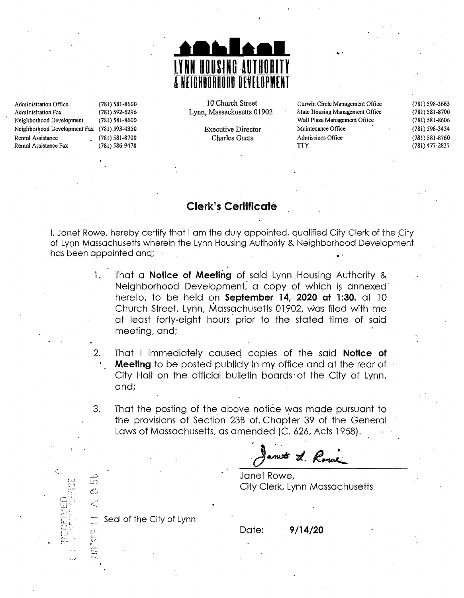

Administration Fax (781) 592-6296 Lynn, Massachusetts 01902 State Housing Management Office (781) 581-8700<br>Neighborhood Development (781) 581-8600 State Housing Management Office (781) 581-8606 Neighborhood Development Neighborhood Development Fax (781) 593-4350 Executive Director Maintenance Office (781) 598-3434 Rental Assistance. . • (781) 581-8700 Charles Gaeta Admissions Office (781) 581-8760

Administration Office (781) 581-8600 HO Church Street Curwin Circle Management Office (781) 598-3663

Rental Assistance Fax (781) 586-9478 (781) 686-9478 Try Try (781) 477-2837

...

### **Clerk's Cen'ificafe**

I. Janet Rowe, hereby certify that I am the duly appointed, qualified City Clerk of the City of Lynn Massachusetts wherein the Lynn Housing Authority & Neighborhood Development has been appointed and;

- 1. That a **Notice of Meeting** of said Lynn Housing Authority & Neighborhood Development, a copy of which is annexed hereto, to be held qn **September 14, 2020 at 1:30.** at 10 Church Street, Lynn, Massachusetts 01902, was filed with me at least forty-eight hours' prior to the stated time of said meeting, and;
- 2. That I immediately caused copies of the said **Notice of Meeting** to be posted publicly in my office and at the rear of City Hall on the official bulletin boards of the City of Lynn, and;
- 3. That the posting of the above notice was made pursuant to the provisions of Section 23B of. Chapter 39 of the General Laws of Massachusetts, as amended (C. 626, Acts 1958).

 $~$ *m* $~$ **x**  $~$ *R*  $~$ *R*  $~$ 

 $\mathbb{Z}$  ,  $\mathbb{Z}$  ,  $\mathbb{Z}$  ,  $\mathbb{Z}$  ,  $\mathbb{Z}$  ,  $\mathbb{Z}$  ,  $\mathbb{Z}$  ,  $\mathbb{Z}$  ,  $\mathbb{Z}$  ,  $\mathbb{Z}$  ,  $\mathbb{Z}$  ,  $\mathbb{Z}$  ,  $\mathbb{Z}$  ,  $\mathbb{Z}$  ,  $\mathbb{Z}$  ,  $\mathbb{Z}$  ,  $\mathbb{Z}$  ,  $\mathbb{Z}$  ,  $\mathbb{Z}$  ,  $\mathbb{Z}$  , City Clerk, Lynn Massachusetts

Seal of the City of Lynn

 $! \cup \cdots$ 

ċ.

Date: **9/14/20**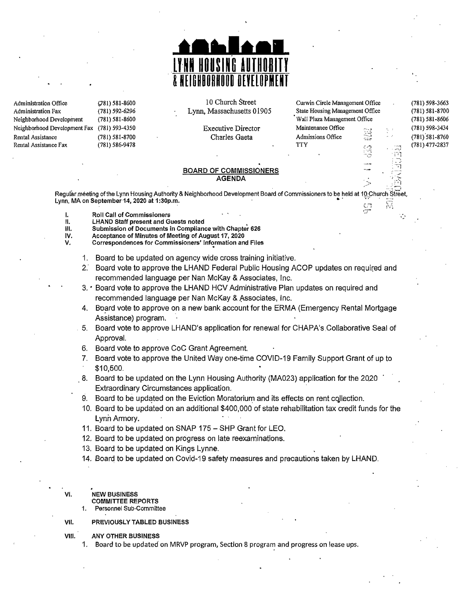

Administration Office (.781) 581-8600<br>Administration Fax (.781) 592-6296 10 Church Street Curvin Circle Management Office<br>Lynn, Massachusetts 01905 5tate Housing Management Office Administration Fax (781) 592-6296 Lynn, Massachusetts 01905<br>Neighborhood Development (781) 581-8600 Neighborhood Development Fax (781) 593-4350 Executive Director Maintenance Office<br>Rental Assistance (781) 581-8700 Charles Gaeta Admissions Office Rental Assistance (781) 581-8700 Charles Gaeta Adm<br>Rental Assistance Fax (781) 586-9478 Charles Gaeta (771) Rental Assistance Fax

Wall Plaza Management Office :-,'l.

(781) 598-3663 (181) 581-8700 (781) 581-8606 (781) 598-3434 (781)'581-8760 (181) 477~2837

### BOARD OF COMMISSIONERS<br>AGENDA  $\mathsf{AGENDA}$  . The contract of  $\mathbb{R}^n$

Regular meeting of the Lynn Housing Authority & Neighborhood Development Board of Commissioners to be held at 10:Church Street, Lynn. MA on September 14, 2020 at 1:30p.m. • . ~:~. ....

- I. **Roll Call of Commissioners**<br>II. I. HAND Staff present and Gi
	-
- II. CHAND Staff present and Guests noted LHAND Staff present and Guests noted Submission of Documents in Compliance III. Submission of Documents in Compliance with Chapter 626<br>IV. Acceptance of Minutes of Meeting of August 17, 2020
- IV. Acceptance of Minutes of Meeting of August 17, 2020<br>V. Correspondences for Commissioners' Information and
	- Correspondences for Commissioners' Information and Files
		- 1. Board to be updated on agency wide cross training initiative.
		- 2. Board vote to approve the LHAND Federal Public Housing ACOP updates on required and recommended language per Nan McKay & Associates, Inc.
		- 3.• Board vote to approve the LHAND HCV Administrative Plan updates on required and recommended language per Nan McKay & Associates, Inc.
		- 4. Board vote to approve on a new bank account for the ERMA (Emergency Rental Mortgage Assistance) program.
		- . 5. Board vote to approve LHAND's application for renewal for CHAPA's.Collaborative Seal of Approval.
		- 6. Board vote to approve CoC Grant Agreement.
		- 7. Board vote to approve the United Way one-time COVID-19 Family Support Grant of up to \$10,500.
		- 8. Board to be updated on the Lynn Housing Authority (MA023) application for the 2020 Extraordinary Circumstances application.
		- 9. Board to be updated on the Eviction Moratorium and its effects on rent collection.
		- 10. Board to be updated on an additional \$400,000 of state rehabilitation tax credit funds for the Lynn Armory.
		- 11. Board to be updated on SNAP 175 SHP Grant for LEO.
		- 12. Board to be updated on progress on late reexaminations.
		- 13. Board to be updated on Kings Lynne.
		- 14. Board to be updated on Covid-19 safety measures and precautions taken by LHANO .
- VI. NEW BUSINESS
	- COMMITIEE REPORTS
	- 1. Personnel Sub-Committee
- VII. PREVIOUSLY TABLED BUSINESS
- VIII. ANY OTHER BUSINESS
	- 1. Board to be updated on MRVP program, Section 8 program and progress on lease ups.